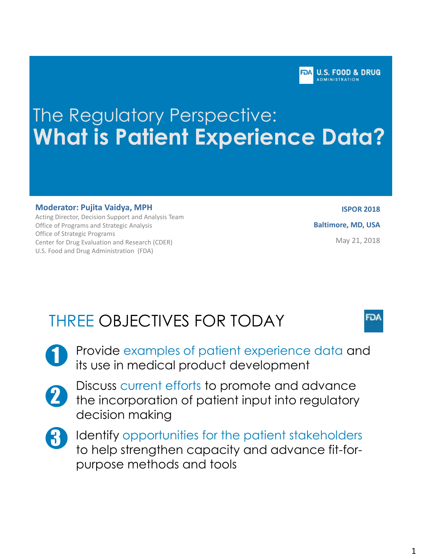FOA U.S. FOOD & DRUG **DMINISTRATION** 

# The Regulatory Perspective: **What is Patient Experience Data?**

#### **Moderator: Pujita Vaidya, MPH**

Acting Director, Decision Support and Analysis Team Office of Programs and Strategic Analysis Office of Strategic Programs Center for Drug Evaluation and Research (CDER) U.S. Food and Drug Administration (FDA)

**ISPOR 2018 Baltimore, MD, USA** May 21, 2018

FDA

# THREE OBJECTIVES FOR TODAY

- Provide examples of patient experience data and its use in medical product development
- 2

1

- Discuss current efforts to promote and advance the incorporation of patient input into regulatory decision making
- 3

Identify opportunities for the patient stakeholders to help strengthen capacity and advance fit-forpurpose methods and tools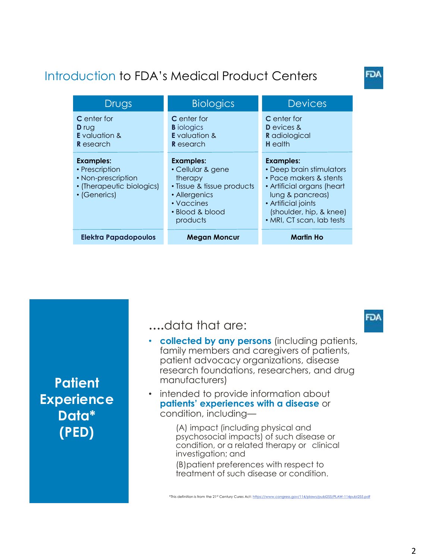## Introduction to FDA's Medical Product Centers

| Drugs                                                                                                 | <b>Biologics</b>                                                                                                                             | <b>Devices</b>                                                                                                                                                                                          |
|-------------------------------------------------------------------------------------------------------|----------------------------------------------------------------------------------------------------------------------------------------------|---------------------------------------------------------------------------------------------------------------------------------------------------------------------------------------------------------|
| <b>C</b> enter for<br><b>D</b> rug<br><b>E</b> valuation &<br><b>R</b> esearch                        | <b>C</b> enter for<br><b>B</b> iologics<br><b>E</b> valuation &<br><b>R</b> esearch                                                          | <b>C</b> enter for<br><b>D</b> evices &<br><b>R</b> adiological<br><b>H</b> ealth                                                                                                                       |
| <b>Examples:</b><br>• Prescription<br>• Non-prescription<br>• (Therapeutic biologics)<br>• (Generics) | <b>Examples:</b><br>• Cellular & gene<br>therapy<br>• Tissue & tissue products<br>• Allergenics<br>• Vaccines<br>• Blood & blood<br>products | <b>Examples:</b><br>• Deep brain stimulators<br>• Pace makers & stents<br>• Artificial organs (heart<br>lung & pancreas)<br>• Artificial joints<br>(shoulder, hip, & knee)<br>• MRI, CT scan, lab tests |
| <b>Elektra Papadopoulos</b>                                                                           | <b>Megan Moncur</b>                                                                                                                          | <b>Martin Ho</b>                                                                                                                                                                                        |

**Patient Experience Data\* (PED)**

#### **….**data that are:

- **collected by any persons** (including patients, family members and caregivers of patients, patient advocacy organizations, disease research foundations, researchers, and drug manufacturers)
- intended to provide information about **patients' experiences with a disease** or condition, including—

(A) impact (including physical and psychosocial impacts) of such disease or condition, or a related therapy or clinical investigation; and (B)patient preferences with respect to treatment of such disease or condition.

FD۸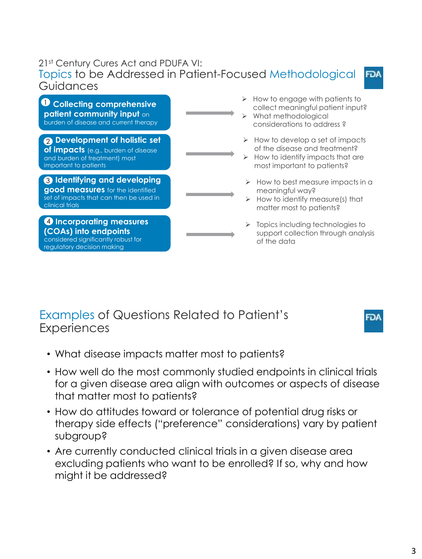#### 21st Century Cures Act and PDUFA VI: Topics to be Addressed in Patient-Focused Methodological **FDA** Guidances

**D** Collecting comprehensive **patient community input** on burden of disease and current therapy

**Development of holistic set**  2 **of impacts** (e.g., burden of disease and burden of treatment) most important to patients

**Identifying and developing**  3 **good measures** for the identified set of impacts that can then be used in clinical trials

**Incorporating measures**  4 **(COAs) into endpoints**  considered significantly robust for regulatory decision making

- $\triangleright$  How to engage with patients to collect meaningful patient input?
- What methodological considerations to address ?
- $\triangleright$  How to develop a set of impacts of the disease and treatment?
- How to identify impacts that are most important to patients?
- $\triangleright$  How to best measure impacts in a meaningful way?
- $\triangleright$  How to identify measure(s) that matter most to patients?
- $\triangleright$  Topics including technologies to support collection through analysis of the data

### Examples of Questions Related to Patient's **Experiences**

- What disease impacts matter most to patients?
- How well do the most commonly studied endpoints in clinical trials for a given disease area align with outcomes or aspects of disease that matter most to patients?
- How do attitudes toward or tolerance of potential drug risks or therapy side effects ("preference" considerations) vary by patient subgroup?
- Are currently conducted clinical trials in a given disease area excluding patients who want to be enrolled? If so, why and how might it be addressed?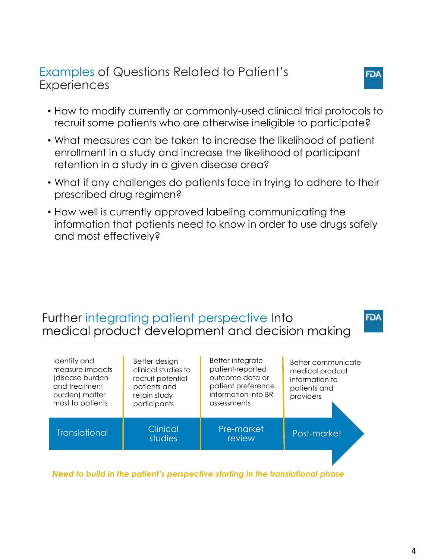#### Examples of Questions Related to Patient's **Experiences**

- How to modify currently or commonly-used clinical trial protocols to recruit some patients who are otherwise ineligible to participate?
- What measures can be taken to increase the likelihood of patient enrollment in a study and increase the likelihood of participant retention in a study in a given disease area?
- What if any challenges do patients face in trying to adhere to their prescribed drug regimen?
- How well is currently approved labeling communicating the information that patients need to know in order to use drugs safely and most effectively?

### Further integrating patient perspective Into medical product development and decision making

| Identify and<br>measure impacts<br>(disease burden<br>and treatment<br>burden) matter<br>most to patients | Better design<br>clinical studies to<br>recruit potential<br>patients and<br>retain study<br>participants | Better integrate<br>patient-reported<br>outcome data or<br>patient preference<br>information into BR<br>assessments | Better communicate<br>medical product<br>information to<br>patients and<br>providers |
|-----------------------------------------------------------------------------------------------------------|-----------------------------------------------------------------------------------------------------------|---------------------------------------------------------------------------------------------------------------------|--------------------------------------------------------------------------------------|
| <b>Translational</b>                                                                                      | <b>Clinical</b><br>studies                                                                                | Pre-market<br>review                                                                                                | Post-market                                                                          |
|                                                                                                           |                                                                                                           |                                                                                                                     |                                                                                      |

*Need to build in the patient's perspective starting in the translational phase*

וס

FDA